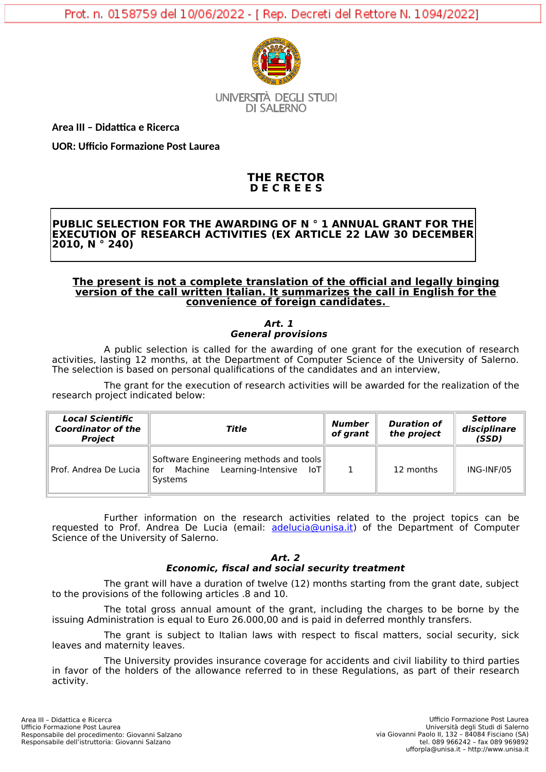

**UNIVERSITÀ DEGLI STUDI** DI SAI FRNO

**Area III – Didattica e Ricerca**

**UOR: Ufficio Formazione Post Laurea**

# **THE RECTOR D E C R E E S**

# **PUBLIC SELECTION FOR THE AWARDING OF N ° 1 ANNUAL GRANT FOR THE EXECUTION OF RESEARCH ACTIVITIES (EX ARTICLE 22 LAW 30 DECEMBER 2010, N ° 240)**

# **The present is not a complete translation of the official and legally binging version of the call written Italian. It summarizes the call in English for the convenience of foreign candidates.**

# **Art. 1 General provisions**

A public selection is called for the awarding of one grant for the execution of research activities, lasting 12 months, at the Department of Computer Science of the University of Salerno. The selection is based on personal qualifications of the candidates and an interview,

The grant for the execution of research activities will be awarded for the realization of the research project indicated below:

| <b>Local Scientific</b><br><b>Coordinator of the</b><br><b>Project</b> | Title                                                                                          | Number<br>of grant | <b>Duration of</b><br>the project | <b>Settore</b><br>disciplinare<br>(SSD) |
|------------------------------------------------------------------------|------------------------------------------------------------------------------------------------|--------------------|-----------------------------------|-----------------------------------------|
| Prof. Andrea De Lucia                                                  | Software Engineering methods and tools<br>Machine Learning-Intensive<br>Toll<br>for<br>Systems |                    | 12 months                         | ING-INF/05                              |

Further information on the research activities related to the project topics can be requested to Prof. Andrea De Lucia (email: [adelucia@unisa.it](mailto:adelucia@unisa.it)) of the Department of Computer Science of the University of Salerno.

## **Art. 2 Economic, fiscal and social security treatment**

The grant will have a duration of twelve (12) months starting from the grant date, subject to the provisions of the following articles .8 and 10.

The total gross annual amount of the grant, including the charges to be borne by the issuing Administration is equal to Euro 26.000,00 and is paid in deferred monthly transfers.

The grant is subject to Italian laws with respect to fiscal matters, social security, sick leaves and maternity leaves.

The University provides insurance coverage for accidents and civil liability to third parties in favor of the holders of the allowance referred to in these Regulations, as part of their research activity.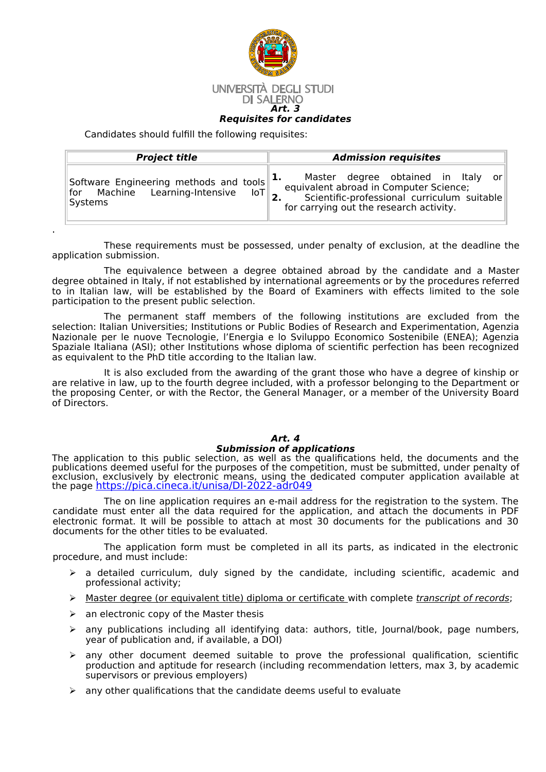

Candidates should fulfill the following requisites:

.

| <b>Project title</b>                   | <b>Admission requisites</b>                 |  |  |  |
|----------------------------------------|---------------------------------------------|--|--|--|
| Software Engineering methods and tools | Master degree obtained in Italy or          |  |  |  |
| for Machine Learning-Intensive         | equivalent abroad in Computer Science;      |  |  |  |
| ∃loT l                                 | Scientific-professional curriculum suitable |  |  |  |
| Systems                                | for carrying out the research activity.     |  |  |  |

These requirements must be possessed, under penalty of exclusion, at the deadline the application submission.

The equivalence between a degree obtained abroad by the candidate and a Master degree obtained in Italy, if not established by international agreements or by the procedures referred to in Italian law, will be established by the Board of Examiners with effects limited to the sole participation to the present public selection.

The permanent staff members of the following institutions are excluded from the selection: Italian Universities; Institutions or Public Bodies of Research and Experimentation, Agenzia Nazionale per le nuove Tecnologie, l'Energia e lo Sviluppo Economico Sostenibile (ENEA); Agenzia Spaziale Italiana (ASI); other Institutions whose diploma of scientific perfection has been recognized as equivalent to the PhD title according to the Italian law.

It is also excluded from the awarding of the grant those who have a degree of kinship or are relative in law, up to the fourth degree included, with a professor belonging to the Department or the proposing Center, or with the Rector, the General Manager, or a member of the University Board of Directors.

# **Art. 4**

# **Submission of applications**

The application to this public selection, as well as the qualifications held, the documents and the publications deemed useful for the purposes of the competition, must be submitted, under penalty of exclusion, exclusively by electronic means, using the dedicated computer application available at the page <u>[https://pica.cineca.it/unisa/DI-2022-adr049](https://pica.cineca.it/unisa/DI-2022-adr011)</u>

The on line application requires an e-mail address for the registration to the system. The candidate must enter all the data required for the application, and attach the documents in PDF electronic format. It will be possible to attach at most 30 documents for the publications and 30 documents for the other titles to be evaluated.

The application form must be completed in all its parts, as indicated in the electronic procedure, and must include:

- $\triangleright$  a detailed curriculum, duly signed by the candidate, including scientific, academic and professional activity;
- $\triangleright$  Master degree (or equivalent title) diploma or certificate with complete transcript of records;
- $\triangleright$  an electronic copy of the Master thesis
- $\triangleright$  any publications including all identifying data: authors, title, Journal/book, page numbers, year of publication and, if available, a DOI)
- $\triangleright$  any other document deemed suitable to prove the professional qualification, scientific production and aptitude for research (including recommendation letters, max 3, by academic supervisors or previous employers)
- $\triangleright$  any other qualifications that the candidate deems useful to evaluate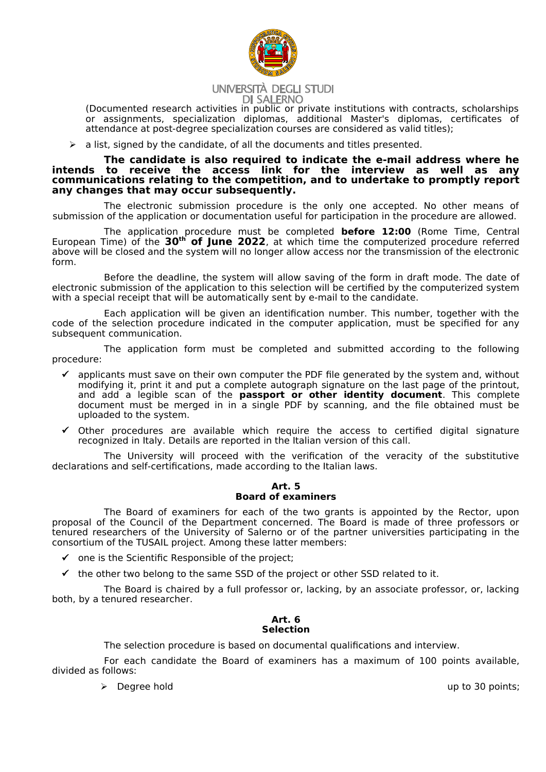

## UNIVERSITÀ DEGLI STUDI **DI SALERNO**

(Documented research activities in public or private institutions with contracts, scholarships or assignments, specialization diplomas, additional Master's diplomas, certificates of attendance at post-degree specialization courses are considered as valid titles);

 $\triangleright$  a list, signed by the candidate, of all the documents and titles presented.

## **The candidate is also required to indicate the e-mail address where he intends to receive the access link for the interview as well as any communications relating to the competition, and to undertake to promptly report any changes that may occur subsequently.**

The electronic submission procedure is the only one accepted. No other means of submission of the application or documentation useful for participation in the procedure are allowed.

The application procedure must be completed **before 12:00** (Rome Time, Central European Time) of the **30th of June 2022**, at which time the computerized procedure referred above will be closed and the system will no longer allow access nor the transmission of the electronic form.

Before the deadline, the system will allow saving of the form in draft mode. The date of electronic submission of the application to this selection will be certified by the computerized system with a special receipt that will be automatically sent by e-mail to the candidate.

Each application will be given an identification number. This number, together with the code of the selection procedure indicated in the computer application, must be specified for any subsequent communication.

The application form must be completed and submitted according to the following procedure:

- $\checkmark$  applicants must save on their own computer the PDF file generated by the system and, without modifying it, print it and put a complete autograph signature on the last page of the printout, and add a legible scan of the **passport or other identity document**. This complete document must be merged in in a single PDF by scanning, and the file obtained must be uploaded to the system.
- $\checkmark$  Other procedures are available which require the access to certified digital signature recognized in Italy. Details are reported in the Italian version of this call.

The University will proceed with the verification of the veracity of the substitutive declarations and self-certifications, made according to the Italian laws.

# **Art. 5 Board of examiners**

The Board of examiners for each of the two grants is appointed by the Rector, upon proposal of the Council of the Department concerned. The Board is made of three professors or tenured researchers of the University of Salerno or of the partner universities participating in the consortium of the TUSAIL project. Among these latter members:

- $\checkmark$  one is the Scientific Responsible of the project:
- $\checkmark$  the other two belong to the same SSD of the project or other SSD related to it.

The Board is chaired by a full professor or, lacking, by an associate professor, or, lacking both, by a tenured researcher.

## **Art. 6 Selection**

The selection procedure is based on documental qualifications and interview.

For each candidate the Board of examiners has a maximum of 100 points available, divided as follows:

→ Degree hold up to 30 points;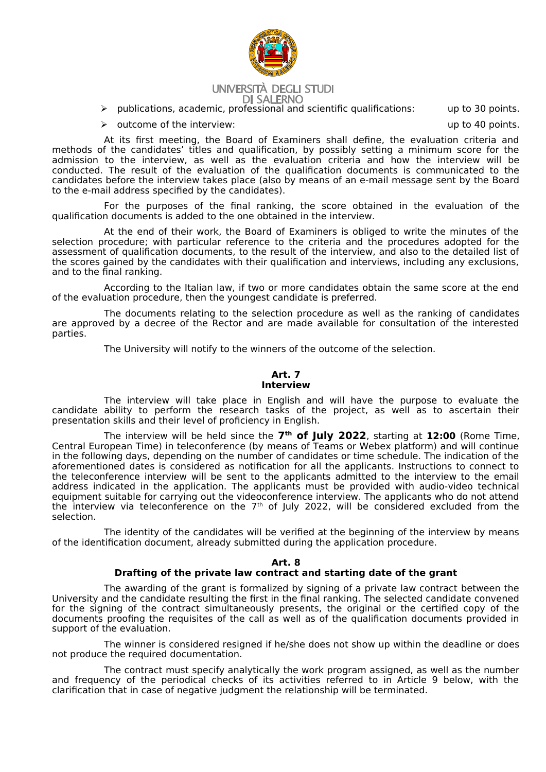

#### UNIVERSITÀ DEGLI STUDI **DI SALERNO**

publications, academic, professional and scientific qualifications: up to 30 points.

 $\triangleright$  outcome of the interview: up to 40 points.

At its first meeting, the Board of Examiners shall define, the evaluation criteria and methods of the candidates' titles and qualification, by possibly setting a minimum score for the admission to the interview, as well as the evaluation criteria and how the interview will be conducted. The result of the evaluation of the qualification documents is communicated to the candidates before the interview takes place (also by means of an e-mail message sent by the Board to the e-mail address specified by the candidates).

For the purposes of the final ranking, the score obtained in the evaluation of the qualification documents is added to the one obtained in the interview.

At the end of their work, the Board of Examiners is obliged to write the minutes of the selection procedure; with particular reference to the criteria and the procedures adopted for the assessment of qualification documents, to the result of the interview, and also to the detailed list of the scores gained by the candidates with their qualification and interviews, including any exclusions, and to the final ranking.

According to the Italian law, if two or more candidates obtain the same score at the end of the evaluation procedure, then the youngest candidate is preferred.

The documents relating to the selection procedure as well as the ranking of candidates are approved by a decree of the Rector and are made available for consultation of the interested parties.

The University will notify to the winners of the outcome of the selection.

#### **Art. 7 Interview**

The interview will take place in English and will have the purpose to evaluate the candidate ability to perform the research tasks of the project, as well as to ascertain their presentation skills and their level of proficiency in English.

The interview will be held since the **7 th of July 2022**, starting at **12:00** (Rome Time, Central European Time) in teleconference (by means of Teams or Webex platform) and will continue in the following days, depending on the number of candidates or time schedule. The indication of the aforementioned dates is considered as notification for all the applicants. Instructions to connect to the teleconference interview will be sent to the applicants admitted to the interview to the email address indicated in the application. The applicants must be provided with audio-video technical equipment suitable for carrying out the videoconference interview. The applicants who do not attend the interview via teleconference on the  $7<sup>th</sup>$  of July 2022, will be considered excluded from the selection.

The identity of the candidates will be verified at the beginning of the interview by means of the identification document, already submitted during the application procedure.

#### **Art. 8**

# **Drafting of the private law contract and starting date of the grant**

The awarding of the grant is formalized by signing of a private law contract between the University and the candidate resulting the first in the final ranking. The selected candidate convened for the signing of the contract simultaneously presents, the original or the certified copy of the documents proofing the requisites of the call as well as of the qualification documents provided in support of the evaluation.

The winner is considered resigned if he/she does not show up within the deadline or does not produce the required documentation.

The contract must specify analytically the work program assigned, as well as the number and frequency of the periodical checks of its activities referred to in Article 9 below, with the clarification that in case of negative judgment the relationship will be terminated.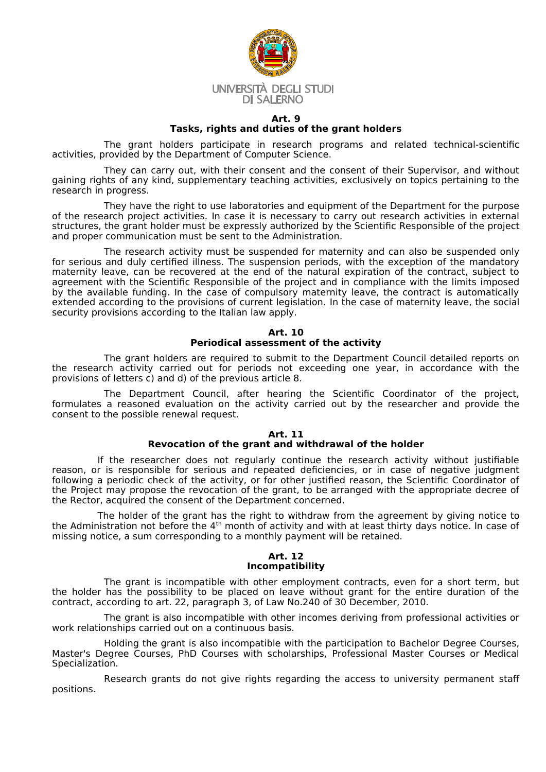

#### **Art. 9 Tasks, rights and duties of the grant holders**

The grant holders participate in research programs and related technical-scientific activities, provided by the Department of Computer Science.

They can carry out, with their consent and the consent of their Supervisor, and without gaining rights of any kind, supplementary teaching activities, exclusively on topics pertaining to the research in progress.

They have the right to use laboratories and equipment of the Department for the purpose of the research project activities. In case it is necessary to carry out research activities in external structures, the grant holder must be expressly authorized by the Scientific Responsible of the project and proper communication must be sent to the Administration.

The research activity must be suspended for maternity and can also be suspended only for serious and duly certified illness. The suspension periods, with the exception of the mandatory maternity leave, can be recovered at the end of the natural expiration of the contract, subject to agreement with the Scientific Responsible of the project and in compliance with the limits imposed by the available funding. In the case of compulsory maternity leave, the contract is automatically extended according to the provisions of current legislation. In the case of maternity leave, the social security provisions according to the Italian law apply.

## **Art. 10 Periodical assessment of the activity**

The grant holders are required to submit to the Department Council detailed reports on the research activity carried out for periods not exceeding one year, in accordance with the provisions of letters c) and d) of the previous article 8.

The Department Council, after hearing the Scientific Coordinator of the project, formulates a reasoned evaluation on the activity carried out by the researcher and provide the consent to the possible renewal request.

# **Art. 11 Revocation of the grant and withdrawal of the holder**

If the researcher does not regularly continue the research activity without justifiable reason, or is responsible for serious and repeated deficiencies, or in case of negative judgment following a periodic check of the activity, or for other justified reason, the Scientific Coordinator of the Project may propose the revocation of the grant, to be arranged with the appropriate decree of the Rector, acquired the consent of the Department concerned.

The holder of the grant has the right to withdraw from the agreement by giving notice to the Administration not before the 4<sup>th</sup> month of activity and with at least thirty days notice. In case of missing notice, a sum corresponding to a monthly payment will be retained.

#### **Art. 12 Incompatibility**

The grant is incompatible with other employment contracts, even for a short term, but the holder has the possibility to be placed on leave without grant for the entire duration of the contract, according to art. 22, paragraph 3, of Law No.240 of 30 December, 2010.

The grant is also incompatible with other incomes deriving from professional activities or work relationships carried out on a continuous basis.

Holding the grant is also incompatible with the participation to Bachelor Degree Courses, Master's Degree Courses, PhD Courses with scholarships, Professional Master Courses or Medical Specialization.

Research grants do not give rights regarding the access to university permanent staff positions.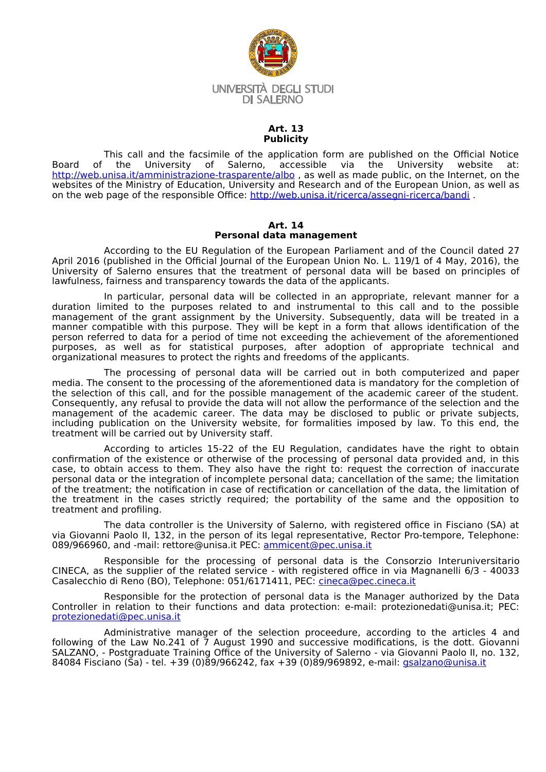

## **Art. 13 Publicity**

This call and the facsimile of the application form are published on the Official Notice<br>of the University of Salerno, accessible via the University website at: Board of the University of Salerno, accessible via the University website at: http://web.unisa.it/amministrazione-trasparente/albo, as well as made public, on the Internet, on the websites of the Ministry of Education, University and Research and of the European Union, as well as on the web page of the responsible Office: <http://web.unisa.it/ricerca/assegni-ricerca/bandi>.

# **Art. 14 Personal data management**

According to the EU Regulation of the European Parliament and of the Council dated 27 April 2016 (published in the Official Journal of the European Union No. L. 119/1 of 4 May, 2016), the University of Salerno ensures that the treatment of personal data will be based on principles of lawfulness, fairness and transparency towards the data of the applicants.

In particular, personal data will be collected in an appropriate, relevant manner for a duration limited to the purposes related to and instrumental to this call and to the possible management of the grant assignment by the University. Subsequently, data will be treated in a manner compatible with this purpose. They will be kept in a form that allows identification of the person referred to data for a period of time not exceeding the achievement of the aforementioned purposes, as well as for statistical purposes, after adoption of appropriate technical and organizational measures to protect the rights and freedoms of the applicants.

The processing of personal data will be carried out in both computerized and paper media. The consent to the processing of the aforementioned data is mandatory for the completion of the selection of this call, and for the possible management of the academic career of the student. Consequently, any refusal to provide the data will not allow the performance of the selection and the management of the academic career. The data may be disclosed to public or private subjects, including publication on the University website, for formalities imposed by law. To this end, the treatment will be carried out by University staff.

According to articles 15-22 of the EU Regulation, candidates have the right to obtain confirmation of the existence or otherwise of the processing of personal data provided and, in this case, to obtain access to them. They also have the right to: request the correction of inaccurate personal data or the integration of incomplete personal data; cancellation of the same; the limitation of the treatment; the notification in case of rectification or cancellation of the data, the limitation of the treatment in the cases strictly required; the portability of the same and the opposition to treatment and profiling.

The data controller is the University of Salerno, with registered office in Fisciano (SA) at via Giovanni Paolo II, 132, in the person of its legal representative, Rector Pro-tempore, Telephone: 089/966960, and -mail: rettore@unisa.it PEC: [ammicent@pec.unisa.it](mailto:ammicent@pec.unisa.it)

Responsible for the processing of personal data is the Consorzio Interuniversitario CINECA, as the supplier of the related service - with registered office in via Magnanelli 6/3 - 40033 Casalecchio di Reno (BO), Telephone: 051/6171411, PEC: <u>[cineca@pec.cineca.it](mailto:cineca@pec.cineca.it)</u>

Responsible for the protection of personal data is the Manager authorized by the Data Controller in relation to their functions and data protection: e-mail: protezionedati@unisa.it; PEC: [protezionedati@pec.unisa.it](mailto:protezionedati@pec.unisa.it)

Administrative manager of the selection proceedure, according to the articles 4 and following of the Law No.241 of 7 August 1990 and successive modifications, is the dott. Giovanni SALZANO, - Postgraduate Training Office of the University of Salerno - via Giovanni Paolo II, no. 132, 84084 Fisciano (Sa) - tel. +39 (0)89/966242, fax +39 (0)89/969892, e-mail: [gsalzano@unisa.it](mailto:gsalzano@unisa.it)